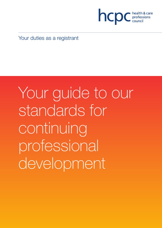

Your duties as a registrant

# Your guide to our standards for continuing professional development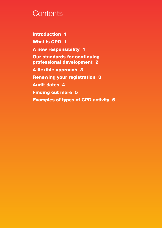# **Contents**

**Introduction 1 What is CPD 1 A new responsibility 1 Our standards for continuing professional development 2 A flexible approach 3 Renewing your registration 3 Audit dates 4 Finding out more 5 Examples of types of CPD activity 5**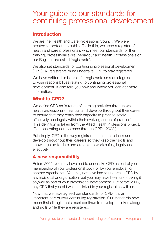# Your guide to our standards for continuing professional development

#### **Introduction**

We are the Health and Care Professions Council. We were created to protect the public. To do this, we keep a register of health and care professionals who meet our standards for their training, professional skills, behaviour and health. Professionals on our Register are called 'registrants'.

We also set standards for continuing professional development (CPD). All registrants must undertake CPD to stay registered.

We have written this booklet for registrants as a quick guide to your responsibilities relating to continuing professional development. It also tells you how and where you can get more information.

# **What is CPD?**

We define CPD as 'a range of learning activities through which health professionals maintain and develop throughout their career to ensure that they retain their capacity to practise safely, effectively and legally within their evolving scope of practice'. (This definition is taken from the Allied Health Professions project, 'Demonstrating competence through CPD', 2002.)

Put simply, CPD is the way registrants continue to learn and develop throughout their careers so they keep their skills and knowledge up to date and are able to work safely, legally and effectively.

## **A new responsibility**

Before 2005, you may have had to undertake CPD as part of your membership of your professional body, or by your employer, or another organisation. You may not have had to undertake CPD by any individual or organisation, but you may have been undertaking it anyway as part of your professional development. But before 2005, any CPD that you did was not linked to your registration with us.

Now that we have agreed our standards for CPD, it is an important part of your continuing registration. Our standards now mean that all registrants must continue to develop their knowledge and skills while they are registered.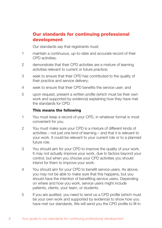## **Our standards for continuing professional development**

Our standards say that registrants must:

- 1 maintain a continuous, up-to-date and accurate record of their CPD activities;
- 2 demonstrate that their CPD activities are a mixture of learning activities relevant to current or future practice;
- 3 seek to ensure that their CPD has contributed to the quality of their practice and service delivery;
- 4 seek to ensure that their CPD benefits the service user; and
- 5 upon request, present a written profile (which must be their own work and supported by evidence) explaining how they have met the standards for CPD.

#### **This means the following**

- 1 You must keep a record of your CPD, in whatever format is most convenient for you.
- 2 You must make sure your CPD is a mixture of different kinds of activities – not just one kind of learning – and that it is relevant to your work. It could be relevant to your current role or to a planned future role.
- 3 You should aim for your CPD to improve the quality of your work. It may not actually improve your work, due to factors beyond your control, but when you choose your CPD activities you should intend for them to improve your work.
- 4 You should aim for your CPD to benefit service users. As above, you may not be able to make sure that this happens, but you should have the intention of benefiting service users. Depending on where and how you work, service users might include patients, clients, your team, or students.
- 5 If you are audited, you need to send us a CPD profile (which must be your own work and supported by evidence) to show how you have met our standards. We will send you the CPD profile to fill in.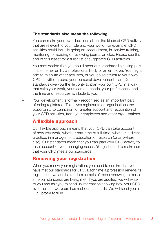#### **The standards also mean the following**

- You can make your own decisions about the kinds of CPD activity that are relevant to your role and your work. For example, CPD activities could include going on secondment, in-service training, mentoring, or reading or reviewing journal articles. Please see the end of this leaflet for a fuller list of suggested CPD activities.
- You may decide that you could meet our standards by taking part in a scheme run by a professional body or an employer. You might add to this with other activities, or you could structure your own CPD activities around your personal development plan. Our standards give you the flexibility to plan your own CPD in a way that suits your work, your learning needs, your preferences, and the time and resources available to you.
- Your development is formally recognised as an important part of being registered. This gives registrants or organisations the opportunity to campaign for greater support and recognition of your CPD activities, from your employers and other organisations.

#### **A flexible approach**

Our flexible approach means that your CPD can take account of how you work, whether part-time or full-time, whether in direct practice, in management, education or research (or anywhere else). Our standards mean that you can plan your CPD activity to take account of your changing needs. You just need to make sure that your CPD meets our standards.

#### **Renewing your registration**

When you renew your registration, you need to confirm that you have met our standards for CPD. Each time a profession renews its registration, we audit a random sample of those renewing to make sure our standards are being met. If you are audited, we will write to you and ask you to send us information showing how your CPD over the last two years has met our standards. We will send you a CPD profile to fill in.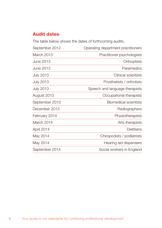## **Audit dates**

The table below shows the dates of forthcoming audits.

| September 2012   | Operating department practitioners |
|------------------|------------------------------------|
| March 2013       | Practitioner psychologists         |
| June 2013        | Orthoptists                        |
| June 2013        | Paramedics                         |
| <b>July 2013</b> | Clinical scientists                |
| <b>July 2013</b> | Prosthetists / orthotists          |
| <b>July 2013</b> | Speech and language therapists     |
| August 2013      | Occupational therapists            |
| September 2013   | <b>Biomedical scientists</b>       |
| December 2013    | Radiographers                      |
| February 2014    | Physiotherapists                   |
| March 2014       | Arts therapists                    |
| April 2014       | <b>Dietitians</b>                  |
| May 2014         | Chiropodists / podiatrists         |
| May 2014         | Hearing aid dispensers             |
| September 2014   | Social workers in England          |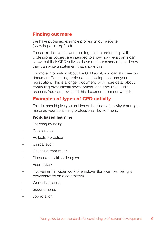### **Finding out more**

We have published example profiles on our website (www.hcpc-uk.org/cpd).

These profiles, which were put together in partnership with professional bodies, are intended to show how registrants can show that their CPD activities have met our standards, and how they can write a statement that shows this.

For more information about the CPD audit, you can also see our document Continuing professional development and your registration. This is a longer document, with more detail about continuing professional development, and about the audit process. You can download this document from our website.

#### **Examples of types of CPD activity**

This list should give you an idea of the kinds of activity that might make up your continuing professional development.

#### **Work based learning**

- Learning by doing
- Case studies
- Reflective practice
- Clinical audit
- Coaching from others
- Discussions with colleagues
- Peer review
- Involvement in wider work of employer (for example, being a representative on a committee)
- Work shadowing
- Secondments
- Job rotation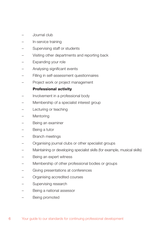- Journal club
- In-service training
- Supervising staff or students
- Visiting other departments and reporting back
- Expanding your role
- Analysing significant events
- Filling in self-assessment questionnaires
- Project work or project management

#### **Professional activity**

- Involvement in a professional body
- Membership of a specialist interest group
- Lecturing or teaching
- Mentoring
- Being an examiner
- Being a tutor
- Branch meetings
- Organising journal clubs or other specialist groups
- Maintaining or developing specialist skills (for example, musical skills)
- Being an expert witness
- Membership of other professional bodies or groups
- Giving presentations at conferences
- Organising accredited courses
- Supervising research
- Being a national assessor
- Being promoted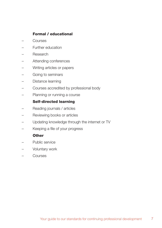#### **Formal / educational**

- Courses
- Further education
- Research
- Attending conferences
- Writing articles or papers
- Going to seminars
- Distance learning
- Courses accredited by professional body
- Planning or running a course

#### **Self-directed learning**

- Reading journals / articles
- Reviewing books or articles
- Updating knowledge through the internet or TV
- Keeping a file of your progress

#### **Other**

- Public service
- Voluntary work
- Courses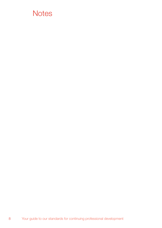# **Notes**